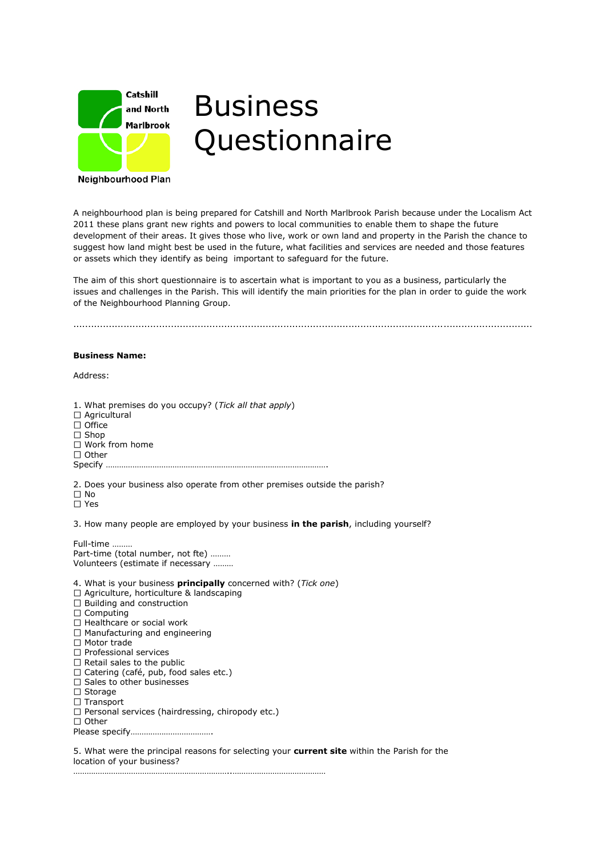

## Business **Questionnaire**

Neighbourhood Plan

A neighbourhood plan is being prepared for Catshill and North Marlbrook Parish because under the Localism Act 2011 these plans grant new rights and powers to local communities to enable them to shape the future development of their areas. It gives those who live, work or own land and property in the Parish the chance to suggest how land might best be used in the future, what facilities and services are needed and those features or assets which they identify as being important to safeguard for the future.

The aim of this short questionnaire is to ascertain what is important to you as a business, particularly the issues and challenges in the Parish. This will identify the main priorities for the plan in order to guide the work of the Neighbourhood Planning Group.

...........................................................................................................................................................

## **Business Name:**

Address:

1. What premises do you occupy? (*Tick all that apply*) Agricultural  $\Box$  Office  $\square$  Shop □ Work from home  $\Box$  Other Specify ……………………………………………………………………………………….

2. Does your business also operate from other premises outside the parish?  $\square$  No

□ Yes

3. How many people are employed by your business **in the parish**, including yourself?

Full-time ……… Part-time (total number, not fte) ……… Volunteers (estimate if necessary ………

4. What is your business **principally** concerned with? (*Tick one*) □ Agriculture, horticulture & landscaping  $\Box$  Building and construction  $\square$  Computing  $\Box$  Healthcare or social work  $\Box$  Manufacturing and engineering  $\Box$  Motor trade  $\Box$  Professional services  $\Box$  Retail sales to the public  $\Box$  Catering (café, pub, food sales etc.)  $\square$  Sales to other businesses  $\square$  Storage □ Transport  $\square$  Personal services (hairdressing, chiropody etc.)  $\Box$  Other

……………………………………………………………..……………………………………

Please specify……………………………….

5. What were the principal reasons for selecting your **current site** within the Parish for the location of your business?